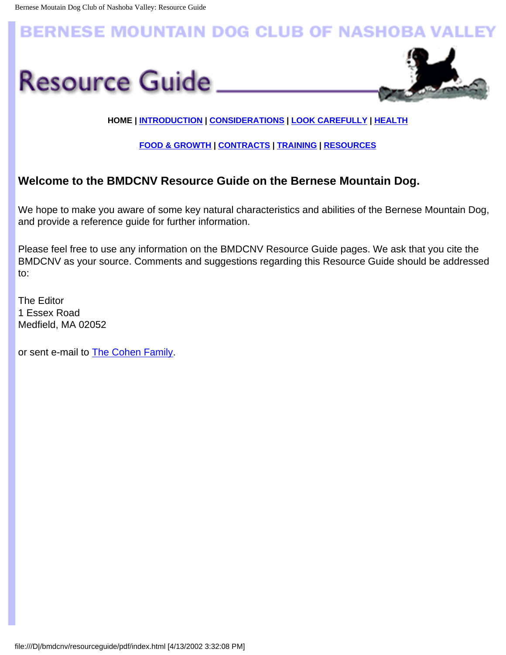# <span id="page-0-0"></span>**BERNESE MOUNTAIN DOG CLUB OF NASHOBA VALLEY**





## **HOME | [INTRODUCTION](#page-1-0) | [CONSIDERATIONS](#page-4-0) | [LOOK CAREFULLY](file:///D|/bmdcnv/resourceguide/pdf/look.html) | [HEALTH](#page-12-0)**

### **[FOOD & GROWTH](#page-15-0) | [CONTRACTS](#page-10-0) | [TRAINING](#page-6-0) | [RESOURCES](#page-17-0)**

# **Welcome to the BMDCNV Resource Guide on the Bernese Mountain Dog.**

We hope to make you aware of some key natural characteristics and abilities of the Bernese Mountain Dog, and provide a reference guide for further information.

Please feel free to use any information on the BMDCNV Resource Guide pages. We ask that you cite the BMDCNV as your source. Comments and suggestions regarding this Resource Guide should be addressed to:

The Editor 1 Essex Road Medfield, MA 02052

or sent e-mail to [The Cohen Family](mailto:the_cohen_family@juno.com).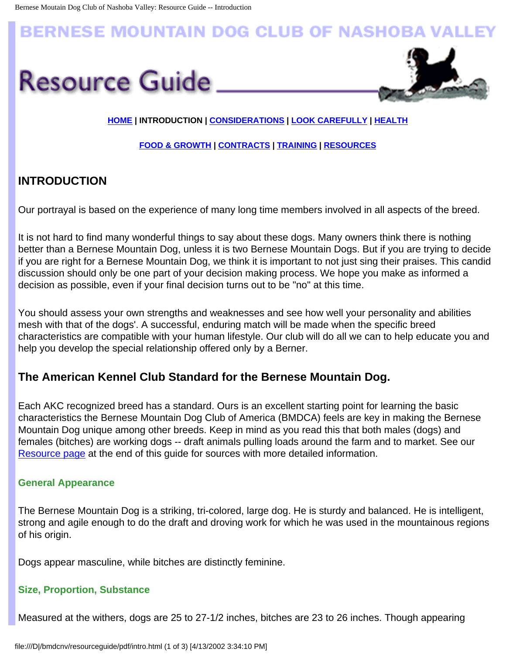# <span id="page-1-0"></span>**BERNESE MOUNTAIN DOG CLUB OF NASHOBA VAI**





### **[HOME](#page-0-0) | INTRODUCTION | [CONSIDERATIONS](#page-4-0) | [LOOK CAREFULLY](file:///D|/bmdcnv/resourceguide/pdf/look.html) | [HEALTH](#page-12-0)**

#### **[FOOD & GROWTH](#page-15-0) | [CONTRACTS](#page-10-0) | [TRAINING](#page-6-0) | [RESOURCES](#page-17-0)**

# **INTRODUCTION**

Our portrayal is based on the experience of many long time members involved in all aspects of the breed.

It is not hard to find many wonderful things to say about these dogs. Many owners think there is nothing better than a Bernese Mountain Dog, unless it is two Bernese Mountain Dogs. But if you are trying to decide if you are right for a Bernese Mountain Dog, we think it is important to not just sing their praises. This candid discussion should only be one part of your decision making process. We hope you make as informed a decision as possible, even if your final decision turns out to be "no" at this time.

You should assess your own strengths and weaknesses and see how well your personality and abilities mesh with that of the dogs'. A successful, enduring match will be made when the specific breed characteristics are compatible with your human lifestyle. Our club will do all we can to help educate you and help you develop the special relationship offered only by a Berner.

# **The American Kennel Club Standard for the Bernese Mountain Dog.**

Each AKC recognized breed has a standard. Ours is an excellent starting point for learning the basic characteristics the Bernese Mountain Dog Club of America (BMDCA) feels are key in making the Bernese Mountain Dog unique among other breeds. Keep in mind as you read this that both males (dogs) and females (bitches) are working dogs -- draft animals pulling loads around the farm and to market. See our [Resource page](#page-17-0) at the end of this guide for sources with more detailed information.

#### **General Appearance**

The Bernese Mountain Dog is a striking, tri-colored, large dog. He is sturdy and balanced. He is intelligent, strong and agile enough to do the draft and droving work for which he was used in the mountainous regions of his origin.

Dogs appear masculine, while bitches are distinctly feminine.

#### **Size, Proportion, Substance**

Measured at the withers, dogs are 25 to 27-1/2 inches, bitches are 23 to 26 inches. Though appearing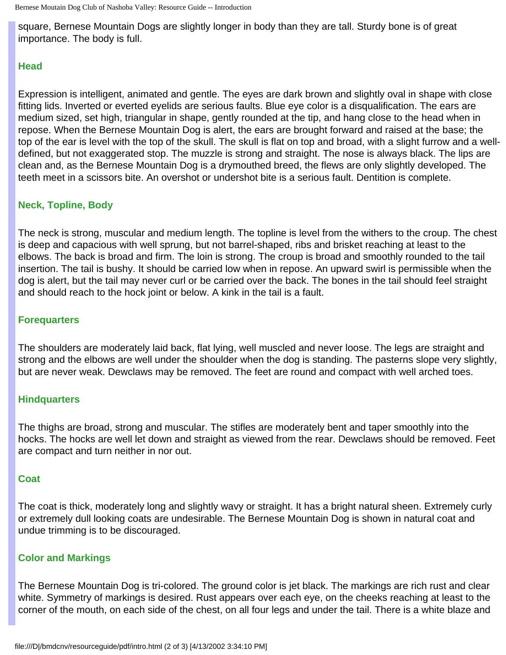Bernese Moutain Dog Club of Nashoba Valley: Resource Guide -- Introduction

square, Bernese Mountain Dogs are slightly longer in body than they are tall. Sturdy bone is of great importance. The body is full.

### **Head**

Expression is intelligent, animated and gentle. The eyes are dark brown and slightly oval in shape with close fitting lids. Inverted or everted eyelids are serious faults. Blue eye color is a disqualification. The ears are medium sized, set high, triangular in shape, gently rounded at the tip, and hang close to the head when in repose. When the Bernese Mountain Dog is alert, the ears are brought forward and raised at the base; the top of the ear is level with the top of the skull. The skull is flat on top and broad, with a slight furrow and a welldefined, but not exaggerated stop. The muzzle is strong and straight. The nose is always black. The lips are clean and, as the Bernese Mountain Dog is a drymouthed breed, the flews are only slightly developed. The teeth meet in a scissors bite. An overshot or undershot bite is a serious fault. Dentition is complete.

## **Neck, Topline, Body**

The neck is strong, muscular and medium length. The topline is level from the withers to the croup. The chest is deep and capacious with well sprung, but not barrel-shaped, ribs and brisket reaching at least to the elbows. The back is broad and firm. The loin is strong. The croup is broad and smoothly rounded to the tail insertion. The tail is bushy. It should be carried low when in repose. An upward swirl is permissible when the dog is alert, but the tail may never curl or be carried over the back. The bones in the tail should feel straight and should reach to the hock joint or below. A kink in the tail is a fault.

## **Forequarters**

The shoulders are moderately laid back, flat lying, well muscled and never loose. The legs are straight and strong and the elbows are well under the shoulder when the dog is standing. The pasterns slope very slightly, but are never weak. Dewclaws may be removed. The feet are round and compact with well arched toes.

## **Hindquarters**

The thighs are broad, strong and muscular. The stifles are moderately bent and taper smoothly into the hocks. The hocks are well let down and straight as viewed from the rear. Dewclaws should be removed. Feet are compact and turn neither in nor out.

## **Coat**

The coat is thick, moderately long and slightly wavy or straight. It has a bright natural sheen. Extremely curly or extremely dull looking coats are undesirable. The Bernese Mountain Dog is shown in natural coat and undue trimming is to be discouraged.

## **Color and Markings**

The Bernese Mountain Dog is tri-colored. The ground color is jet black. The markings are rich rust and clear white. Symmetry of markings is desired. Rust appears over each eye, on the cheeks reaching at least to the corner of the mouth, on each side of the chest, on all four legs and under the tail. There is a white blaze and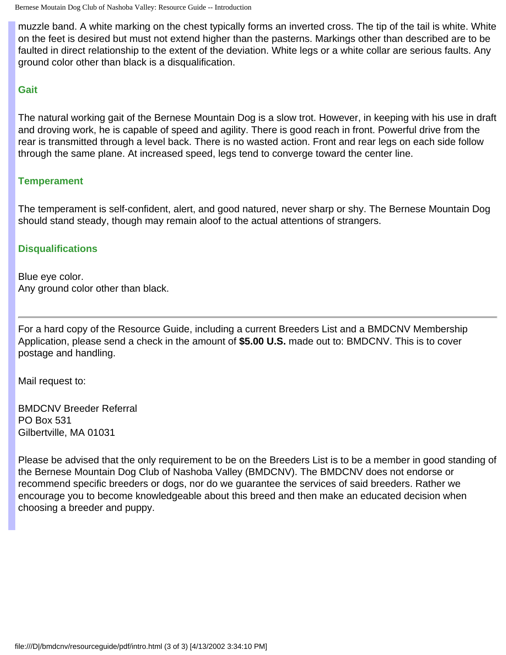muzzle band. A white marking on the chest typically forms an inverted cross. The tip of the tail is white. White on the feet is desired but must not extend higher than the pasterns. Markings other than described are to be faulted in direct relationship to the extent of the deviation. White legs or a white collar are serious faults. Any ground color other than black is a disqualification.

### **Gait**

The natural working gait of the Bernese Mountain Dog is a slow trot. However, in keeping with his use in draft and droving work, he is capable of speed and agility. There is good reach in front. Powerful drive from the rear is transmitted through a level back. There is no wasted action. Front and rear legs on each side follow through the same plane. At increased speed, legs tend to converge toward the center line.

### **Temperament**

The temperament is self-confident, alert, and good natured, never sharp or shy. The Bernese Mountain Dog should stand steady, though may remain aloof to the actual attentions of strangers.

### **Disqualifications**

Blue eye color. Any ground color other than black.

For a hard copy of the Resource Guide, including a current Breeders List and a BMDCNV Membership Application, please send a check in the amount of **\$5.00 U.S.** made out to: BMDCNV. This is to cover postage and handling.

Mail request to:

BMDCNV Breeder Referral PO Box 531 Gilbertville, MA 01031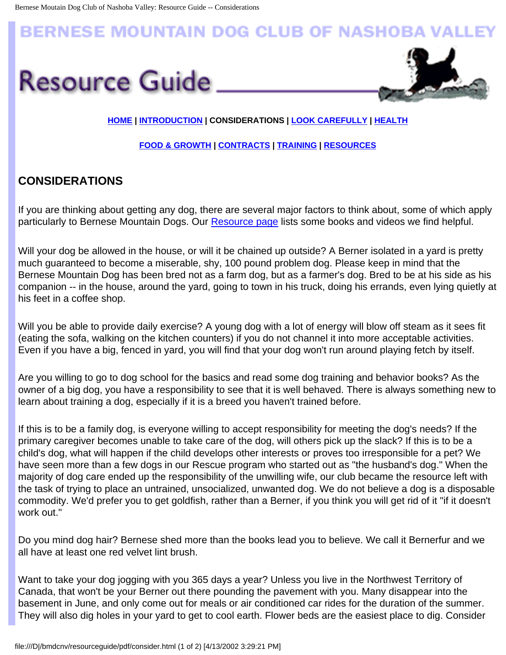# <span id="page-4-0"></span>**BERNESE MOUNTAIN DOG CLUB OF NASHOBA VA**





### **[HOME](#page-0-0) | [INTRODUCTION](#page-1-0) | CONSIDERATIONS | [LOOK CAREFULLY](file:///D|/bmdcnv/resourceguide/pdf/look.html) | [HEALTH](#page-12-0)**

### **[FOOD & GROWTH](#page-15-0) | [CONTRACTS](#page-10-0) | [TRAINING](#page-6-0) | [RESOURCES](#page-17-0)**

# **CONSIDERATIONS**

If you are thinking about getting any dog, there are several major factors to think about, some of which apply particularly to Bernese Mountain Dogs. Our [Resource page](#page-17-0) lists some books and videos we find helpful.

Will your dog be allowed in the house, or will it be chained up outside? A Berner isolated in a yard is pretty much guaranteed to become a miserable, shy, 100 pound problem dog. Please keep in mind that the Bernese Mountain Dog has been bred not as a farm dog, but as a farmer's dog. Bred to be at his side as his companion -- in the house, around the yard, going to town in his truck, doing his errands, even lying quietly at his feet in a coffee shop.

Will you be able to provide daily exercise? A young dog with a lot of energy will blow off steam as it sees fit (eating the sofa, walking on the kitchen counters) if you do not channel it into more acceptable activities. Even if you have a big, fenced in yard, you will find that your dog won't run around playing fetch by itself.

Are you willing to go to dog school for the basics and read some dog training and behavior books? As the owner of a big dog, you have a responsibility to see that it is well behaved. There is always something new to learn about training a dog, especially if it is a breed you haven't trained before.

If this is to be a family dog, is everyone willing to accept responsibility for meeting the dog's needs? If the primary caregiver becomes unable to take care of the dog, will others pick up the slack? If this is to be a child's dog, what will happen if the child develops other interests or proves too irresponsible for a pet? We have seen more than a few dogs in our Rescue program who started out as "the husband's dog." When the majority of dog care ended up the responsibility of the unwilling wife, our club became the resource left with the task of trying to place an untrained, unsocialized, unwanted dog. We do not believe a dog is a disposable commodity. We'd prefer you to get goldfish, rather than a Berner, if you think you will get rid of it "if it doesn't work out."

Do you mind dog hair? Bernese shed more than the books lead you to believe. We call it Bernerfur and we all have at least one red velvet lint brush.

Want to take your dog jogging with you 365 days a year? Unless you live in the Northwest Territory of Canada, that won't be your Berner out there pounding the pavement with you. Many disappear into the basement in June, and only come out for meals or air conditioned car rides for the duration of the summer. They will also dig holes in your yard to get to cool earth. Flower beds are the easiest place to dig. Consider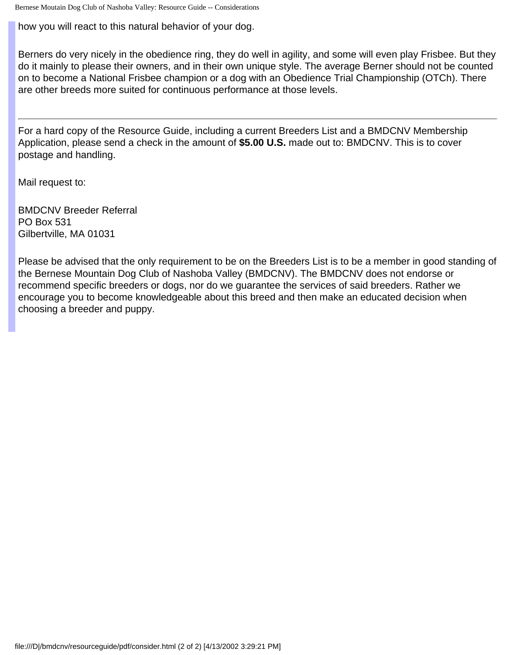Bernese Moutain Dog Club of Nashoba Valley: Resource Guide -- Considerations

how you will react to this natural behavior of your dog.

Berners do very nicely in the obedience ring, they do well in agility, and some will even play Frisbee. But they do it mainly to please their owners, and in their own unique style. The average Berner should not be counted on to become a National Frisbee champion or a dog with an Obedience Trial Championship (OTCh). There are other breeds more suited for continuous performance at those levels.

For a hard copy of the Resource Guide, including a current Breeders List and a BMDCNV Membership Application, please send a check in the amount of **\$5.00 U.S.** made out to: BMDCNV. This is to cover postage and handling.

Mail request to:

BMDCNV Breeder Referral PO Box 531 Gilbertville, MA 01031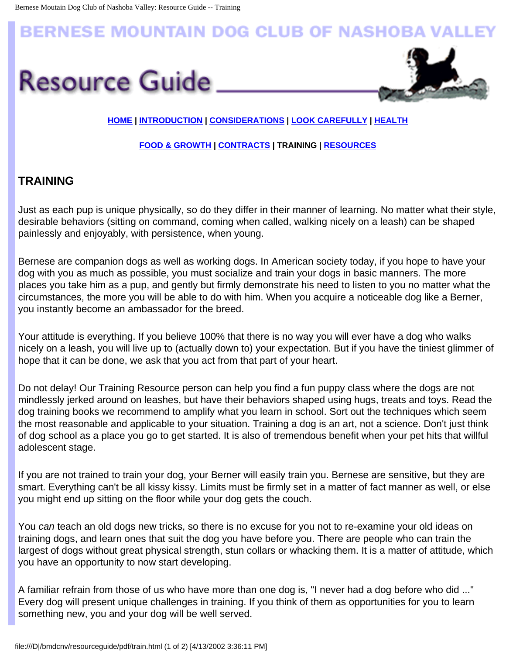# <span id="page-6-0"></span>**BERNESE MOUNTAIN DOG CLUB OF NASHOBA VAI**





### **[HOME](#page-0-0) | [INTRODUCTION](#page-1-0) | [CONSIDERATIONS](#page-4-0) | [LOOK CAREFULLY](file:///D|/bmdcnv/resourceguide/pdf/look.html) | [HEALTH](#page-12-0)**

#### **[FOOD & GROWTH](#page-15-0) | [CONTRACTS](#page-10-0) | TRAINING | [RESOURCES](#page-17-0)**

# **TRAINING**

Just as each pup is unique physically, so do they differ in their manner of learning. No matter what their style, desirable behaviors (sitting on command, coming when called, walking nicely on a leash) can be shaped painlessly and enjoyably, with persistence, when young.

Bernese are companion dogs as well as working dogs. In American society today, if you hope to have your dog with you as much as possible, you must socialize and train your dogs in basic manners. The more places you take him as a pup, and gently but firmly demonstrate his need to listen to you no matter what the circumstances, the more you will be able to do with him. When you acquire a noticeable dog like a Berner, you instantly become an ambassador for the breed.

Your attitude is everything. If you believe 100% that there is no way you will ever have a dog who walks nicely on a leash, you will live up to (actually down to) your expectation. But if you have the tiniest glimmer of hope that it can be done, we ask that you act from that part of your heart.

Do not delay! Our Training Resource person can help you find a fun puppy class where the dogs are not mindlessly jerked around on leashes, but have their behaviors shaped using hugs, treats and toys. Read the dog training books we recommend to amplify what you learn in school. Sort out the techniques which seem the most reasonable and applicable to your situation. Training a dog is an art, not a science. Don't just think of dog school as a place you go to get started. It is also of tremendous benefit when your pet hits that willful adolescent stage.

If you are not trained to train your dog, your Berner will easily train you. Bernese are sensitive, but they are smart. Everything can't be all kissy kissy. Limits must be firmly set in a matter of fact manner as well, or else you might end up sitting on the floor while your dog gets the couch.

You *can* teach an old dogs new tricks, so there is no excuse for you not to re-examine your old ideas on training dogs, and learn ones that suit the dog you have before you. There are people who can train the largest of dogs without great physical strength, stun collars or whacking them. It is a matter of attitude, which you have an opportunity to now start developing.

A familiar refrain from those of us who have more than one dog is, "I never had a dog before who did ..." Every dog will present unique challenges in training. If you think of them as opportunities for you to learn something new, you and your dog will be well served.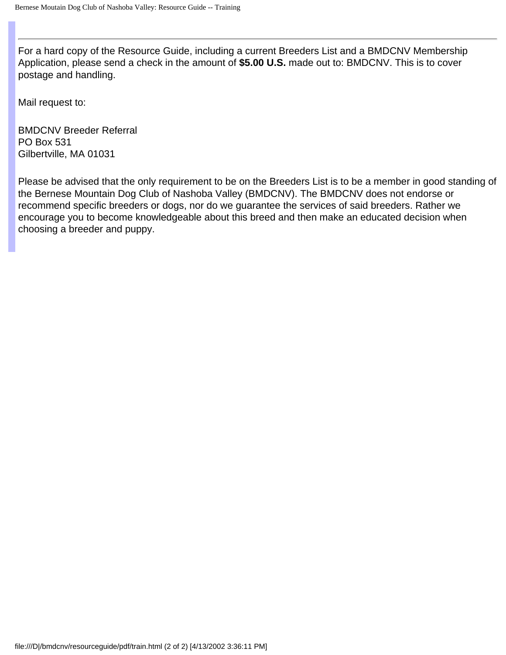For a hard copy of the Resource Guide, including a current Breeders List and a BMDCNV Membership Application, please send a check in the amount of **\$5.00 U.S.** made out to: BMDCNV. This is to cover postage and handling.

Mail request to:

BMDCNV Breeder Referral PO Box 531 Gilbertville, MA 01031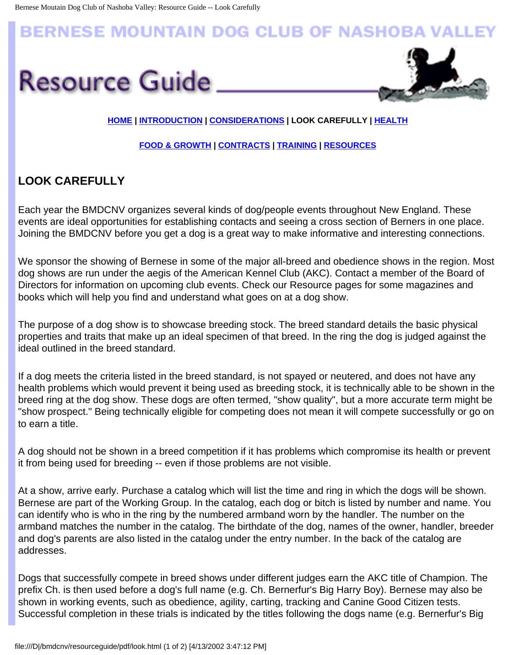# **BERNESE MOUNTAIN DOG CLUB OF NASHOBA VAI**





### **[HOME](#page-0-0) | [INTRODUCTION](#page-1-0) | [CONSIDERATIONS](#page-4-0) | LOOK CAREFULLY | [HEALTH](#page-12-0)**

#### **[FOOD & GROWTH](#page-15-0) | [CONTRACTS](#page-10-0) | [TRAINING](#page-6-0) | [RESOURCES](#page-17-0)**

# **LOOK CAREFULLY**

Each year the BMDCNV organizes several kinds of dog/people events throughout New England. These events are ideal opportunities for establishing contacts and seeing a cross section of Berners in one place. Joining the BMDCNV before you get a dog is a great way to make informative and interesting connections.

We sponsor the showing of Bernese in some of the major all-breed and obedience shows in the region. Most dog shows are run under the aegis of the American Kennel Club (AKC). Contact a member of the Board of Directors for information on upcoming club events. Check our Resource pages for some magazines and books which will help you find and understand what goes on at a dog show.

The purpose of a dog show is to showcase breeding stock. The breed standard details the basic physical properties and traits that make up an ideal specimen of that breed. In the ring the dog is judged against the ideal outlined in the breed standard.

If a dog meets the criteria listed in the breed standard, is not spayed or neutered, and does not have any health problems which would prevent it being used as breeding stock, it is technically able to be shown in the breed ring at the dog show. These dogs are often termed, "show quality", but a more accurate term might be "show prospect." Being technically eligible for competing does not mean it will compete successfully or go on to earn a title.

A dog should not be shown in a breed competition if it has problems which compromise its health or prevent it from being used for breeding -- even if those problems are not visible.

At a show, arrive early. Purchase a catalog which will list the time and ring in which the dogs will be shown. Bernese are part of the Working Group. In the catalog, each dog or bitch is listed by number and name. You can identify who is who in the ring by the numbered armband worn by the handler. The number on the armband matches the number in the catalog. The birthdate of the dog, names of the owner, handler, breeder and dog's parents are also listed in the catalog under the entry number. In the back of the catalog are addresses.

Dogs that successfully compete in breed shows under different judges earn the AKC title of Champion. The prefix Ch. is then used before a dog's full name (e.g. Ch. Bernerfur's Big Harry Boy). Bernese may also be shown in working events, such as obedience, agility, carting, tracking and Canine Good Citizen tests. Successful completion in these trials is indicated by the titles following the dogs name (e.g. Bernerfur's Big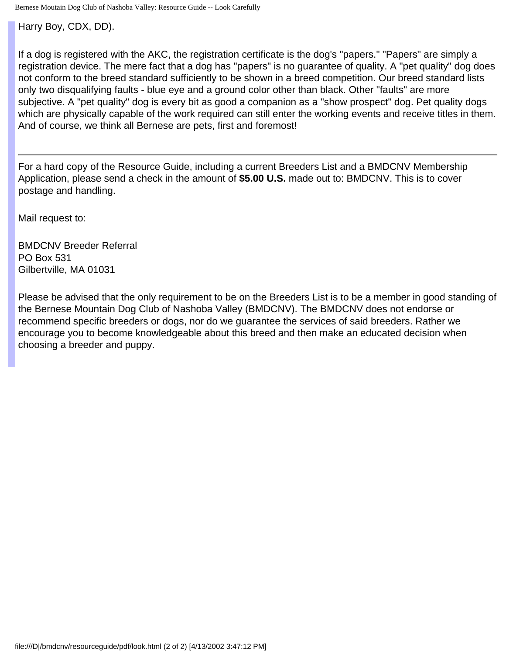Bernese Moutain Dog Club of Nashoba Valley: Resource Guide -- Look Carefully

Harry Boy, CDX, DD).

If a dog is registered with the AKC, the registration certificate is the dog's "papers." "Papers" are simply a registration device. The mere fact that a dog has "papers" is no guarantee of quality. A "pet quality" dog does not conform to the breed standard sufficiently to be shown in a breed competition. Our breed standard lists only two disqualifying faults - blue eye and a ground color other than black. Other "faults" are more subjective. A "pet quality" dog is every bit as good a companion as a "show prospect" dog. Pet quality dogs which are physically capable of the work required can still enter the working events and receive titles in them. And of course, we think all Bernese are pets, first and foremost!

For a hard copy of the Resource Guide, including a current Breeders List and a BMDCNV Membership Application, please send a check in the amount of **\$5.00 U.S.** made out to: BMDCNV. This is to cover postage and handling.

Mail request to:

BMDCNV Breeder Referral PO Box 531 Gilbertville, MA 01031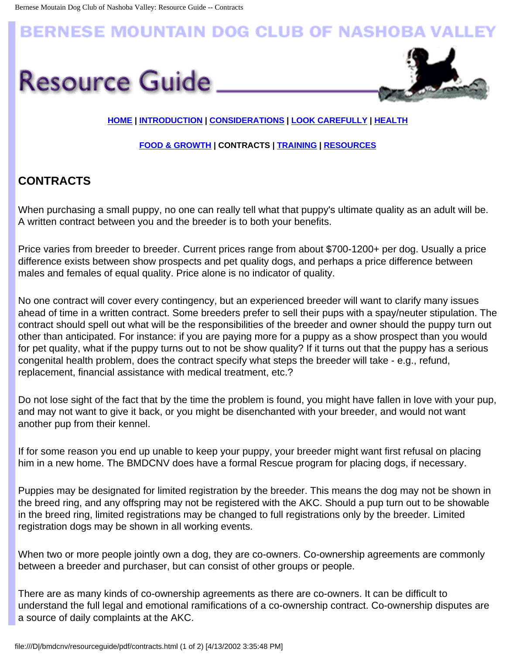# <span id="page-10-0"></span>**BERNESE MOUNTAIN DOG CLUB OF NASHOBA VAI**





### **[HOME](#page-0-0) | [INTRODUCTION](#page-1-0) | [CONSIDERATIONS](#page-4-0) | [LOOK CAREFULLY](file:///D|/bmdcnv/resourceguide/pdf/look.html) | [HEALTH](#page-12-0)**

#### **[FOOD & GROWTH](#page-15-0) | CONTRACTS | [TRAINING](#page-6-0) | [RESOURCES](#page-17-0)**

# **CONTRACTS**

When purchasing a small puppy, no one can really tell what that puppy's ultimate quality as an adult will be. A written contract between you and the breeder is to both your benefits.

Price varies from breeder to breeder. Current prices range from about \$700-1200+ per dog. Usually a price difference exists between show prospects and pet quality dogs, and perhaps a price difference between males and females of equal quality. Price alone is no indicator of quality.

No one contract will cover every contingency, but an experienced breeder will want to clarify many issues ahead of time in a written contract. Some breeders prefer to sell their pups with a spay/neuter stipulation. The contract should spell out what will be the responsibilities of the breeder and owner should the puppy turn out other than anticipated. For instance: if you are paying more for a puppy as a show prospect than you would for pet quality, what if the puppy turns out to not be show quality? If it turns out that the puppy has a serious congenital health problem, does the contract specify what steps the breeder will take - e.g., refund, replacement, financial assistance with medical treatment, etc.?

Do not lose sight of the fact that by the time the problem is found, you might have fallen in love with your pup, and may not want to give it back, or you might be disenchanted with your breeder, and would not want another pup from their kennel.

If for some reason you end up unable to keep your puppy, your breeder might want first refusal on placing him in a new home. The BMDCNV does have a formal Rescue program for placing dogs, if necessary.

Puppies may be designated for limited registration by the breeder. This means the dog may not be shown in the breed ring, and any offspring may not be registered with the AKC. Should a pup turn out to be showable in the breed ring, limited registrations may be changed to full registrations only by the breeder. Limited registration dogs may be shown in all working events.

When two or more people jointly own a dog, they are co-owners. Co-ownership agreements are commonly between a breeder and purchaser, but can consist of other groups or people.

There are as many kinds of co-ownership agreements as there are co-owners. It can be difficult to understand the full legal and emotional ramifications of a co-ownership contract. Co-ownership disputes are a source of daily complaints at the AKC.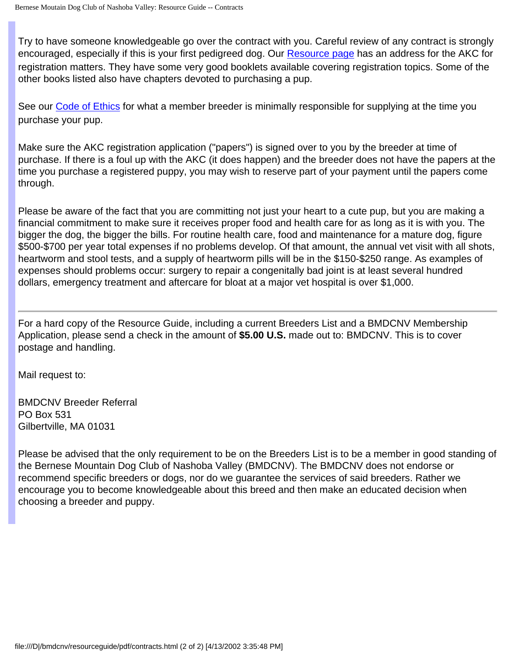Try to have someone knowledgeable go over the contract with you. Careful review of any contract is strongly encouraged, especially if this is your first pedigreed dog. Our [Resource page](#page-17-0) has an address for the AKC for registration matters. They have some very good booklets available covering registration topics. Some of the other books listed also have chapters devoted to purchasing a pup.

See our [Code of Ethics](file:///D|/bmdcnv/coe.html) for what a member breeder is minimally responsible for supplying at the time you purchase your pup.

Make sure the AKC registration application ("papers") is signed over to you by the breeder at time of purchase. If there is a foul up with the AKC (it does happen) and the breeder does not have the papers at the time you purchase a registered puppy, you may wish to reserve part of your payment until the papers come through.

Please be aware of the fact that you are committing not just your heart to a cute pup, but you are making a financial commitment to make sure it receives proper food and health care for as long as it is with you. The bigger the dog, the bigger the bills. For routine health care, food and maintenance for a mature dog, figure \$500-\$700 per year total expenses if no problems develop. Of that amount, the annual vet visit with all shots, heartworm and stool tests, and a supply of heartworm pills will be in the \$150-\$250 range. As examples of expenses should problems occur: surgery to repair a congenitally bad joint is at least several hundred dollars, emergency treatment and aftercare for bloat at a major vet hospital is over \$1,000.

For a hard copy of the Resource Guide, including a current Breeders List and a BMDCNV Membership Application, please send a check in the amount of **\$5.00 U.S.** made out to: BMDCNV. This is to cover postage and handling.

Mail request to:

BMDCNV Breeder Referral PO Box 531 Gilbertville, MA 01031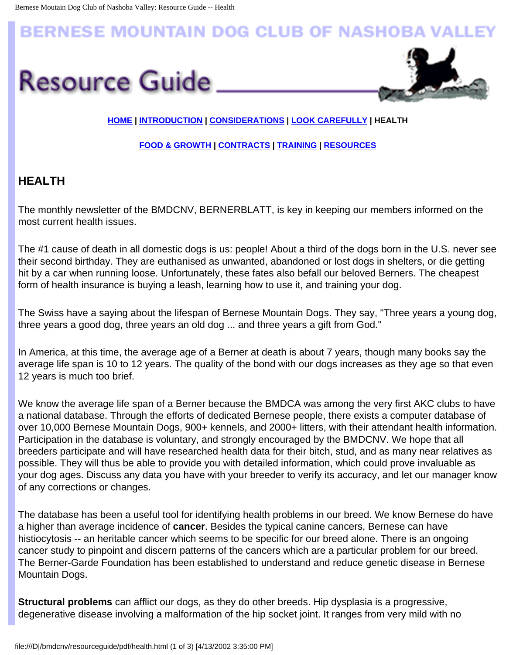# <span id="page-12-0"></span>**BERNESE MOUNTAIN DOG CLUB OF NASHOBA VAL**





## **[HOME](#page-0-0) | [INTRODUCTION](#page-1-0) | [CONSIDERATIONS](#page-4-0) | [LOOK CAREFULLY](file:///D|/bmdcnv/resourceguide/pdf/look.html) | HEALTH**

### **[FOOD & GROWTH](#page-15-0) | [CONTRACTS](#page-10-0) | [TRAINING](#page-6-0) | [RESOURCES](#page-17-0)**

# **HEALTH**

The monthly newsletter of the BMDCNV, BERNERBLATT, is key in keeping our members informed on the most current health issues.

The #1 cause of death in all domestic dogs is us: people! About a third of the dogs born in the U.S. never see their second birthday. They are euthanised as unwanted, abandoned or lost dogs in shelters, or die getting hit by a car when running loose. Unfortunately, these fates also befall our beloved Berners. The cheapest form of health insurance is buying a leash, learning how to use it, and training your dog.

The Swiss have a saying about the lifespan of Bernese Mountain Dogs. They say, "Three years a young dog, three years a good dog, three years an old dog ... and three years a gift from God."

In America, at this time, the average age of a Berner at death is about 7 years, though many books say the average life span is 10 to 12 years. The quality of the bond with our dogs increases as they age so that even 12 years is much too brief.

We know the average life span of a Berner because the BMDCA was among the very first AKC clubs to have a national database. Through the efforts of dedicated Bernese people, there exists a computer database of over 10,000 Bernese Mountain Dogs, 900+ kennels, and 2000+ litters, with their attendant health information. Participation in the database is voluntary, and strongly encouraged by the BMDCNV. We hope that all breeders participate and will have researched health data for their bitch, stud, and as many near relatives as possible. They will thus be able to provide you with detailed information, which could prove invaluable as your dog ages. Discuss any data you have with your breeder to verify its accuracy, and let our manager know of any corrections or changes.

The database has been a useful tool for identifying health problems in our breed. We know Bernese do have a higher than average incidence of **cancer**. Besides the typical canine cancers, Bernese can have histiocytosis -- an heritable cancer which seems to be specific for our breed alone. There is an ongoing cancer study to pinpoint and discern patterns of the cancers which are a particular problem for our breed. The Berner-Garde Foundation has been established to understand and reduce genetic disease in Bernese Mountain Dogs.

**Structural problems** can afflict our dogs, as they do other breeds. Hip dysplasia is a progressive, degenerative disease involving a malformation of the hip socket joint. It ranges from very mild with no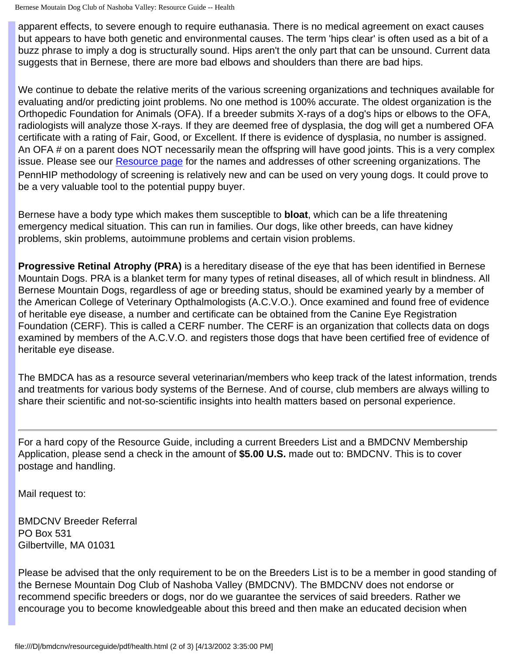Bernese Moutain Dog Club of Nashoba Valley: Resource Guide -- Health

apparent effects, to severe enough to require euthanasia. There is no medical agreement on exact causes but appears to have both genetic and environmental causes. The term 'hips clear' is often used as a bit of a buzz phrase to imply a dog is structurally sound. Hips aren't the only part that can be unsound. Current data suggests that in Bernese, there are more bad elbows and shoulders than there are bad hips.

We continue to debate the relative merits of the various screening organizations and techniques available for evaluating and/or predicting joint problems. No one method is 100% accurate. The oldest organization is the Orthopedic Foundation for Animals (OFA). If a breeder submits X-rays of a dog's hips or elbows to the OFA, radiologists will analyze those X-rays. If they are deemed free of dysplasia, the dog will get a numbered OFA certificate with a rating of Fair, Good, or Excellent. If there is evidence of dysplasia, no number is assigned. An OFA # on a parent does NOT necessarily mean the offspring will have good joints. This is a very complex issue. Please see our **Resource page** for the names and addresses of other screening organizations. The PennHIP methodology of screening is relatively new and can be used on very young dogs. It could prove to be a very valuable tool to the potential puppy buyer.

Bernese have a body type which makes them susceptible to **bloat**, which can be a life threatening emergency medical situation. This can run in families. Our dogs, like other breeds, can have kidney problems, skin problems, autoimmune problems and certain vision problems.

**Progressive Retinal Atrophy (PRA)** is a hereditary disease of the eye that has been identified in Bernese Mountain Dogs. PRA is a blanket term for many types of retinal diseases, all of which result in blindness. All Bernese Mountain Dogs, regardless of age or breeding status, should be examined yearly by a member of the American College of Veterinary Opthalmologists (A.C.V.O.). Once examined and found free of evidence of heritable eye disease, a number and certificate can be obtained from the Canine Eye Registration Foundation (CERF). This is called a CERF number. The CERF is an organization that collects data on dogs examined by members of the A.C.V.O. and registers those dogs that have been certified free of evidence of heritable eye disease.

The BMDCA has as a resource several veterinarian/members who keep track of the latest information, trends and treatments for various body systems of the Bernese. And of course, club members are always willing to share their scientific and not-so-scientific insights into health matters based on personal experience.

For a hard copy of the Resource Guide, including a current Breeders List and a BMDCNV Membership Application, please send a check in the amount of **\$5.00 U.S.** made out to: BMDCNV. This is to cover postage and handling.

Mail request to:

BMDCNV Breeder Referral PO Box 531 Gilbertville, MA 01031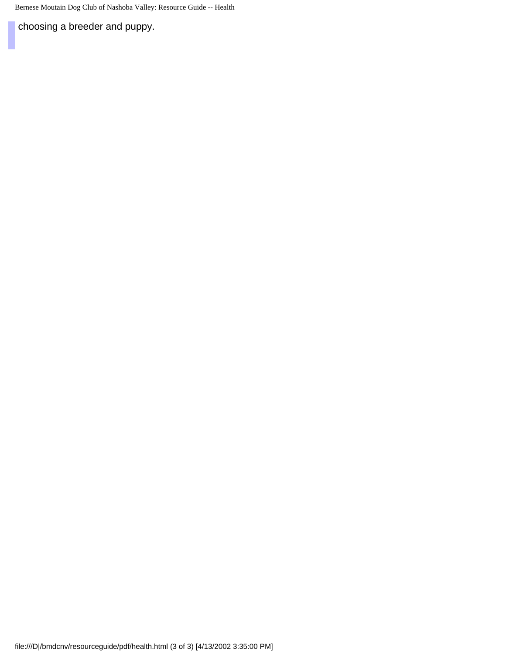Bernese Moutain Dog Club of Nashoba Valley: Resource Guide -- Health

choosing a breeder and puppy.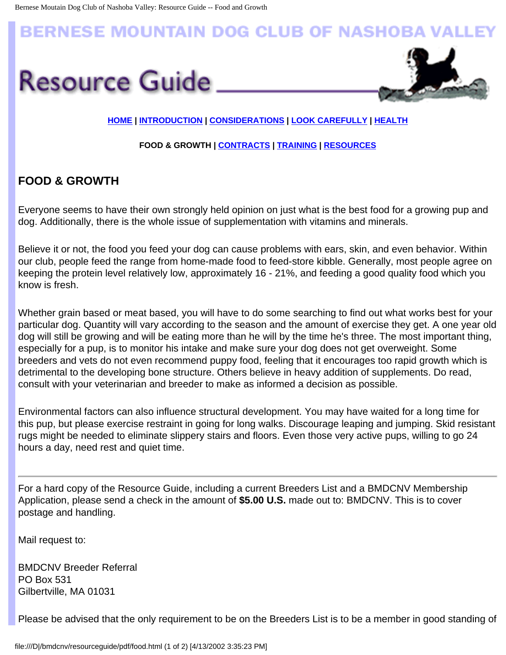# <span id="page-15-0"></span>**BERNESE MOUNTAIN DOG CLUB OF NASHOBA VAL**





### **[HOME](#page-0-0) | [INTRODUCTION](#page-1-0) | [CONSIDERATIONS](#page-4-0) | [LOOK CAREFULLY](file:///D|/bmdcnv/resourceguide/pdf/look.html) | [HEALTH](#page-12-0)**

#### **FOOD & GROWTH | [CONTRACTS](#page-10-0) | [TRAINING](#page-6-0) | [RESOURCES](#page-17-0)**

# **FOOD & GROWTH**

Everyone seems to have their own strongly held opinion on just what is the best food for a growing pup and dog. Additionally, there is the whole issue of supplementation with vitamins and minerals.

Believe it or not, the food you feed your dog can cause problems with ears, skin, and even behavior. Within our club, people feed the range from home-made food to feed-store kibble. Generally, most people agree on keeping the protein level relatively low, approximately 16 - 21%, and feeding a good quality food which you know is fresh.

Whether grain based or meat based, you will have to do some searching to find out what works best for your particular dog. Quantity will vary according to the season and the amount of exercise they get. A one year old dog will still be growing and will be eating more than he will by the time he's three. The most important thing, especially for a pup, is to monitor his intake and make sure your dog does not get overweight. Some breeders and vets do not even recommend puppy food, feeling that it encourages too rapid growth which is detrimental to the developing bone structure. Others believe in heavy addition of supplements. Do read, consult with your veterinarian and breeder to make as informed a decision as possible.

Environmental factors can also influence structural development. You may have waited for a long time for this pup, but please exercise restraint in going for long walks. Discourage leaping and jumping. Skid resistant rugs might be needed to eliminate slippery stairs and floors. Even those very active pups, willing to go 24 hours a day, need rest and quiet time.

For a hard copy of the Resource Guide, including a current Breeders List and a BMDCNV Membership Application, please send a check in the amount of **\$5.00 U.S.** made out to: BMDCNV. This is to cover postage and handling.

Mail request to:

BMDCNV Breeder Referral PO Box 531 Gilbertville, MA 01031

Please be advised that the only requirement to be on the Breeders List is to be a member in good standing of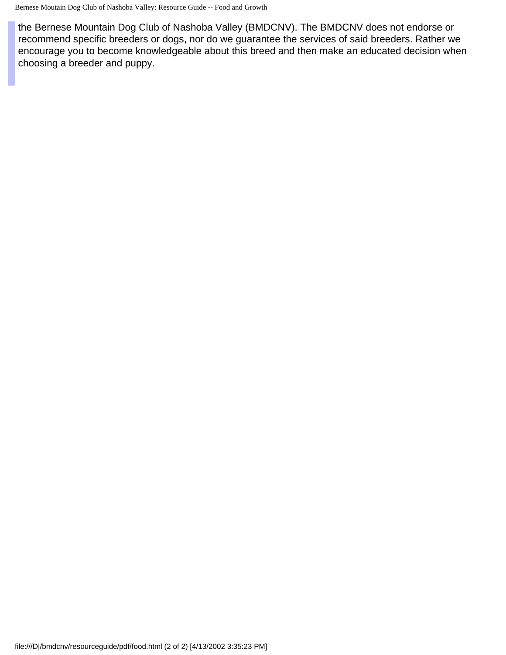the Bernese Mountain Dog Club of Nashoba Valley (BMDCNV). The BMDCNV does not endorse or recommend specific breeders or dogs, nor do we guarantee the services of said breeders. Rather we encourage you to become knowledgeable about this breed and then make an educated decision when choosing a breeder and puppy.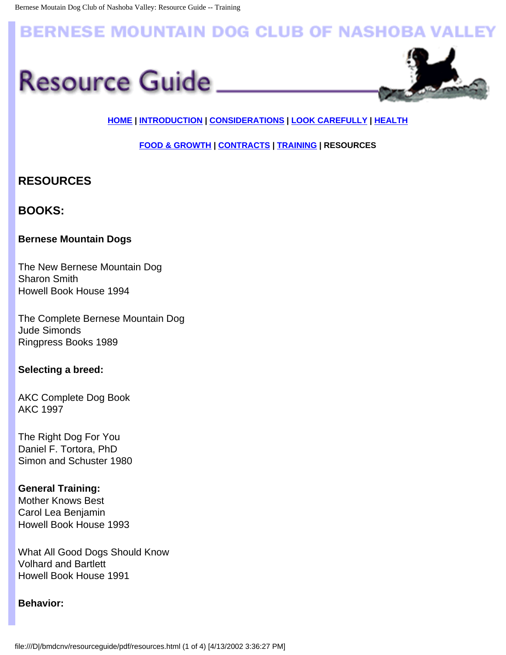# <span id="page-17-0"></span>**BERNESE MOUNTAIN DOG CLUB OF NASHOBA VALLEY**





# **[HOME](#page-0-0) | [INTRODUCTION](#page-1-0) | [CONSIDERATIONS](#page-4-0) | [LOOK CAREFULLY](file:///D|/bmdcnv/resourceguide/pdf/look.html) | [HEALTH](#page-12-0)**

**[FOOD & GROWTH](#page-15-0) | [CONTRACTS](#page-10-0) | [TRAINING](#page-6-0) | RESOURCES** 

# **RESOURCES**

# **BOOKS:**

### **Bernese Mountain Dogs**

The New Bernese Mountain Dog Sharon Smith Howell Book House 1994

The Complete Bernese Mountain Dog Jude Simonds Ringpress Books 1989

### **Selecting a breed:**

AKC Complete Dog Book AKC 1997

The Right Dog For You Daniel F. Tortora, PhD Simon and Schuster 1980

### **General Training:**

Mother Knows Best Carol Lea Benjamin Howell Book House 1993

What All Good Dogs Should Know Volhard and Bartlett Howell Book House 1991

### **Behavior:**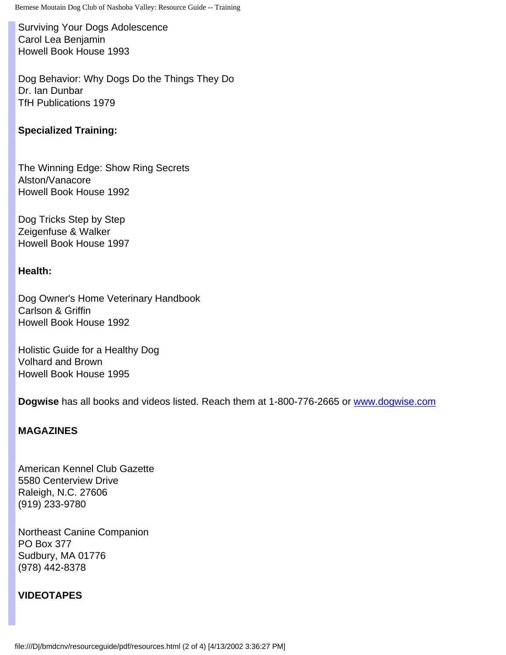Surviving Your Dogs Adolescence Carol Lea Benjamin Howell Book House 1993

Dog Behavior: Why Dogs Do the Things They Do Dr. Ian Dunbar TfH Publications 1979

#### **Specialized Training:**

The Winning Edge: Show Ring Secrets Alston/Vanacore Howell Book House 1992

Dog Tricks Step by Step Zeigenfuse & Walker Howell Book House 1997

#### **Health:**

Dog Owner's Home Veterinary Handbook Carlson & Griffin Howell Book House 1992

Holistic Guide for a Healthy Dog Volhard and Brown Howell Book House 1995

**Dogwise** has all books and videos listed. Reach them at 1-800-776-2665 or [www.dogwise.com](http://www.dogwise.com/)

#### **MAGAZINES**

American Kennel Club Gazette 5580 Centerview Drive Raleigh, N.C. 27606 (919) 233-9780

Northeast Canine Companion PO Box 377 Sudbury, MA 01776 (978) 442-8378

### **VIDEOTAPES**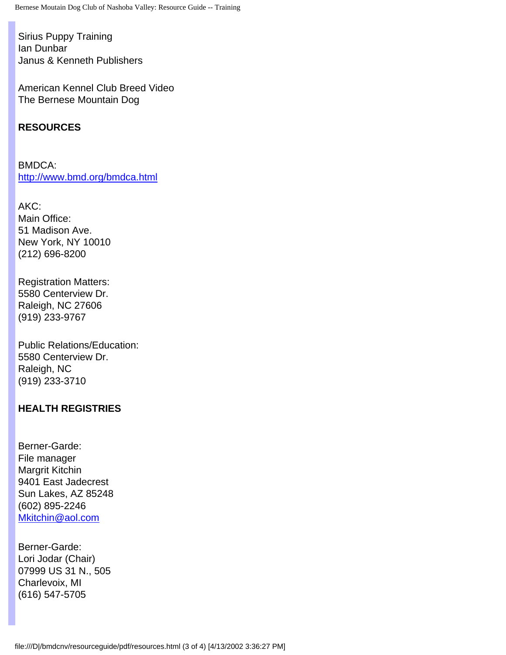Sirius Puppy Training Ian Dunbar Janus & Kenneth Publishers

American Kennel Club Breed Video The Bernese Mountain Dog

## **RESOURCES**

BMDCA: <http://www.bmd.org/bmdca.html>

AKC: Main Office: 51 Madison Ave. New York, NY 10010 (212) 696-8200

Registration Matters: 5580 Centerview Dr. Raleigh, NC 27606 (919) 233-9767

Public Relations/Education: 5580 Centerview Dr. Raleigh, NC (919) 233-3710

## **HEALTH REGISTRIES**

Berner-Garde: File manager Margrit Kitchin 9401 East Jadecrest Sun Lakes, AZ 85248 (602) 895-2246 [Mkitchin@aol.com](mailto:MKitchin@aol.com)

Berner-Garde: Lori Jodar (Chair) 07999 US 31 N., 505 Charlevoix, MI (616) 547-5705